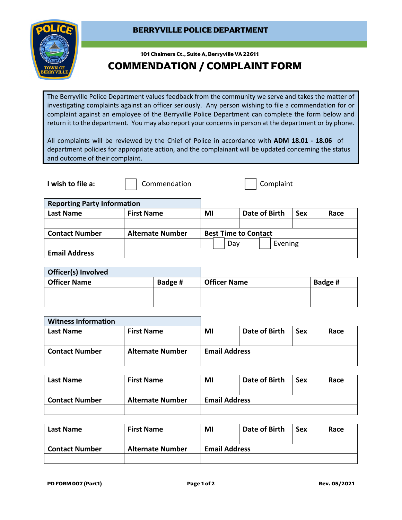## **BERRYVILLE POLICE DEPARTMENT**



 **101 Chalmers Ct., Suite A, Berryville VA 22611**

## **COMMENDATION / COMPLAINT FORM**

The Berryville Police Department values feedback from the community we serve and takes the matter of investigating complaints against an officer seriously. Any person wishing to file a commendation for or complaint against an employee of the Berryville Police Department can complete the form below and return it to the department. You may also report your concerns in person at the department or by phone.

All complaints will be reviewed by the Chief of Police in accordance with **ADM 18.01 - 18.06** of department policies for appropriate action, and the complainant will be updated concerning the status and outcome of their complaint.

**I wish to file a:**  $\begin{array}{|c|c|c|c|} \hline \end{array}$  Commendation  $\begin{array}{|c|c|c|c|c|} \hline \end{array}$  Complaint

**Reporting Party Information Last Name First Name MI Date of Birth Sex Race Contact Number** | Alternate Number | Best Time to Contact Day | Evening **Email Address**

| Officer(s) Involved |         |                     |         |
|---------------------|---------|---------------------|---------|
| Officer Name        | Badge # | <b>Officer Name</b> | Badge # |
|                     |         |                     |         |
|                     |         |                     |         |

| <b>Witness Information</b> |                         |                      |               |            |      |
|----------------------------|-------------------------|----------------------|---------------|------------|------|
| Last Name                  | <b>First Name</b>       | MI                   | Date of Birth | <b>Sex</b> | Race |
|                            |                         |                      |               |            |      |
| <b>Contact Number</b>      | <b>Alternate Number</b> | <b>Email Address</b> |               |            |      |
|                            |                         |                      |               |            |      |

| Last Name             | <b>First Name</b>       | MI                   | Date of Birth | <b>Sex</b> | Race |
|-----------------------|-------------------------|----------------------|---------------|------------|------|
|                       |                         |                      |               |            |      |
| <b>Contact Number</b> | <b>Alternate Number</b> | <b>Email Address</b> |               |            |      |
|                       |                         |                      |               |            |      |

| Last Name             | <b>First Name</b>       | ΜI                   | Date of Birth | <b>Sex</b> | Race |
|-----------------------|-------------------------|----------------------|---------------|------------|------|
|                       |                         |                      |               |            |      |
| <b>Contact Number</b> | <b>Alternate Number</b> | <b>Email Address</b> |               |            |      |
|                       |                         |                      |               |            |      |